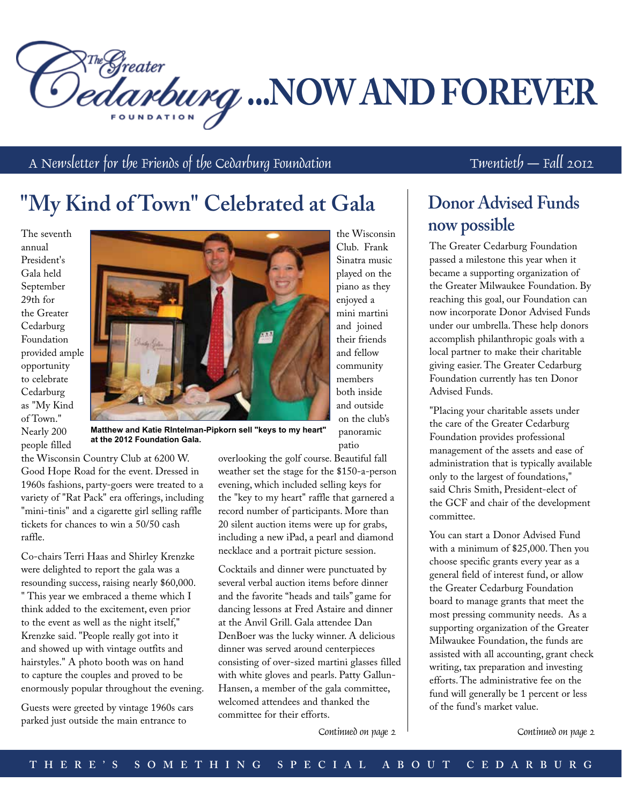<sup>NThe Greater</sup><br>Dedanbung ...NOW AND FOREVER

A Newsletter for the Friends of the Cedarburg Foundation  $T$   $W$   $T$   $W$   $\ldots$   $T$   $W$   $\ldots$   $T$   $T$   $\ldots$   $T$ 

# **"My Kind of Town" Celebrated at Gala**

The seventh annual President's Gala held September 29th for the Greater Cedarburg Foundation provided ample opportunity to celebrate Cedarburg as "My Kind of Town." Nearly 200 people filled



the Wisconsin Club. Frank Sinatra music played on the piano as they enjoyed a mini martini and joined their friends and fellow community members both inside and outside on the club's panoramic patio

**Matthew and Katie RIntelman-Pipkorn sell "keys to my heart" at the 2012 Foundation Gala.**

the Wisconsin Country Club at 6200 W. Good Hope Road for the event. Dressed in 1960s fashions, party-goers were treated to a variety of "Rat Pack" era offerings, including "mini-tinis" and a cigarette girl selling raffle tickets for chances to win a 50/50 cash raffle.

Co-chairs Terri Haas and Shirley Krenzke were delighted to report the gala was a resounding success, raising nearly \$60,000. " This year we embraced a theme which I think added to the excitement, even prior to the event as well as the night itself," Krenzke said. "People really got into it and showed up with vintage outfits and hairstyles." A photo booth was on hand to capture the couples and proved to be enormously popular throughout the evening.

Guests were greeted by vintage 1960s cars parked just outside the main entrance to

overlooking the golf course. Beautiful fall weather set the stage for the \$150-a-person evening, which included selling keys for the "key to my heart" raffle that garnered a record number of participants. More than 20 silent auction items were up for grabs, including a new iPad, a pearl and diamond necklace and a portrait picture session.

Cocktails and dinner were punctuated by several verbal auction items before dinner and the favorite "heads and tails" game for dancing lessons at Fred Astaire and dinner at the Anvil Grill. Gala attendee Dan DenBoer was the lucky winner. A delicious dinner was served around centerpieces consisting of over-sized martini glasses filled with white gloves and pearls. Patty Gallun-Hansen, a member of the gala committee, welcomed attendees and thanked the committee for their efforts.

Continued on page 2 Continued on page 2

### **Donor Advised Funds now possible**

The Greater Cedarburg Foundation passed a milestone this year when it became a supporting organization of the Greater Milwaukee Foundation. By reaching this goal, our Foundation can now incorporate Donor Advised Funds under our umbrella. These help donors accomplish philanthropic goals with a local partner to make their charitable giving easier. The Greater Cedarburg Foundation currently has ten Donor Advised Funds.

"Placing your charitable assets under the care of the Greater Cedarburg Foundation provides professional management of the assets and ease of administration that is typically available only to the largest of foundations," said Chris Smith, President-elect of the GCF and chair of the development committee.

You can start a Donor Advised Fund with a minimum of \$25,000. Then you choose specific grants every year as a general field of interest fund, or allow the Greater Cedarburg Foundation board to manage grants that meet the most pressing community needs. As a supporting organization of the Greater Milwaukee Foundation, the funds are assisted with all accounting, grant check writing, tax preparation and investing efforts. The administrative fee on the fund will generally be 1 percent or less of the fund's market value.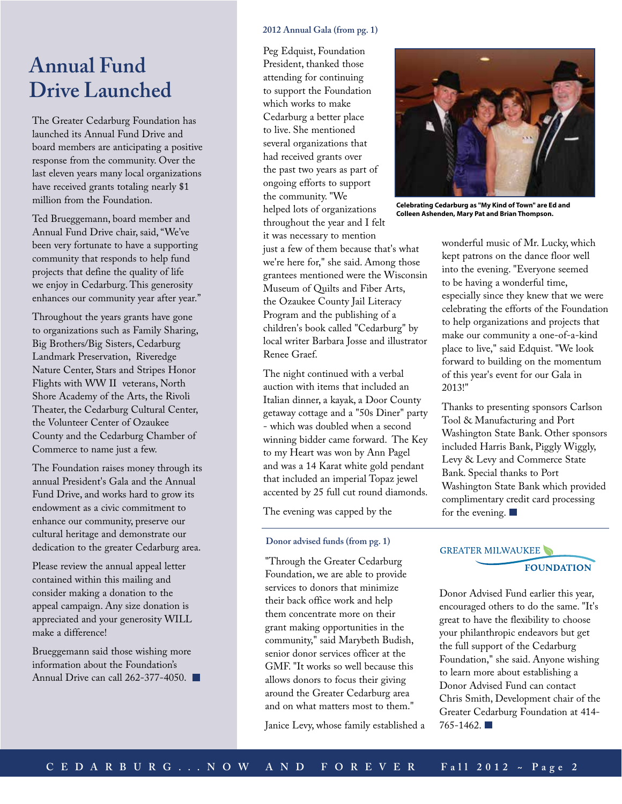### **Annual Fund Drive Launched**

The Greater Cedarburg Foundation has launched its Annual Fund Drive and board members are anticipating a positive response from the community. Over the last eleven years many local organizations have received grants totaling nearly \$1 million from the Foundation.

Ted Brueggemann, board member and Annual Fund Drive chair, said, "We've been very fortunate to have a supporting community that responds to help fund projects that define the quality of life we enjoy in Cedarburg. This generosity enhances our community year after year."

Throughout the years grants have gone to organizations such as Family Sharing, Big Brothers/Big Sisters, Cedarburg Landmark Preservation, Riveredge Nature Center, Stars and Stripes Honor Flights with WW II veterans, North Shore Academy of the Arts, the Rivoli Theater, the Cedarburg Cultural Center, the Volunteer Center of Ozaukee County and the Cedarburg Chamber of Commerce to name just a few.

The Foundation raises money through its annual President's Gala and the Annual Fund Drive, and works hard to grow its endowment as a civic commitment to enhance our community, preserve our cultural heritage and demonstrate our dedication to the greater Cedarburg area.

Please review the annual appeal letter contained within this mailing and consider making a donation to the appeal campaign. Any size donation is appreciated and your generosity WILL make a difference!

Brueggemann said those wishing more information about the Foundation's Annual Drive can call 262-377-4050.

#### **2012 Annual Gala (from pg. 1)**

Peg Edquist, Foundation President, thanked those attending for continuing to support the Foundation which works to make Cedarburg a better place to live. She mentioned several organizations that had received grants over the past two years as part of ongoing efforts to support the community. "We helped lots of organizations throughout the year and I felt it was necessary to mention just a few of them because that's what we're here for," she said. Among those grantees mentioned were the Wisconsin Museum of Quilts and Fiber Arts, the Ozaukee County Jail Literacy Program and the publishing of a children's book called "Cedarburg" by local writer Barbara Josse and illustrator Renee Graef.

The night continued with a verbal auction with items that included an Italian dinner, a kayak, a Door County getaway cottage and a "50s Diner" party - which was doubled when a second winning bidder came forward. The Key to my Heart was won by Ann Pagel and was a 14 Karat white gold pendant that included an imperial Topaz jewel accented by 25 full cut round diamonds.

The evening was capped by the

#### **Donor advised funds (from pg. 1)**

"Through the Greater Cedarburg Foundation, we are able to provide services to donors that minimize their back office work and help them concentrate more on their grant making opportunities in the community," said Marybeth Budish, senior donor services officer at the GMF. "It works so well because this allows donors to focus their giving around the Greater Cedarburg area and on what matters most to them."

Janice Levy, whose family established a



**Celebrating Cedarburg as "My Kind of Town" are Ed and Colleen Ashenden, Mary Pat and Brian Thompson.**

wonderful music of Mr. Lucky, which kept patrons on the dance floor well into the evening. "Everyone seemed to be having a wonderful time, especially since they knew that we were celebrating the efforts of the Foundation to help organizations and projects that make our community a one-of-a-kind place to live," said Edquist. "We look forward to building on the momentum of this year's event for our Gala in 2013!"

Thanks to presenting sponsors Carlson Tool & Manufacturing and Port Washington State Bank. Other sponsors included Harris Bank, Piggly Wiggly, Levy & Levy and Commerce State Bank. Special thanks to Port Washington State Bank which provided complimentary credit card processing for the evening.

#### GREATER MILWAUKEE

**FOUNDATION** 

Donor Advised Fund earlier this year, encouraged others to do the same. "It's great to have the flexibility to choose your philanthropic endeavors but get the full support of the Cedarburg Foundation," she said. Anyone wishing to learn more about establishing a Donor Advised Fund can contact Chris Smith, Development chair of the Greater Cedarburg Foundation at 414- 765-1462.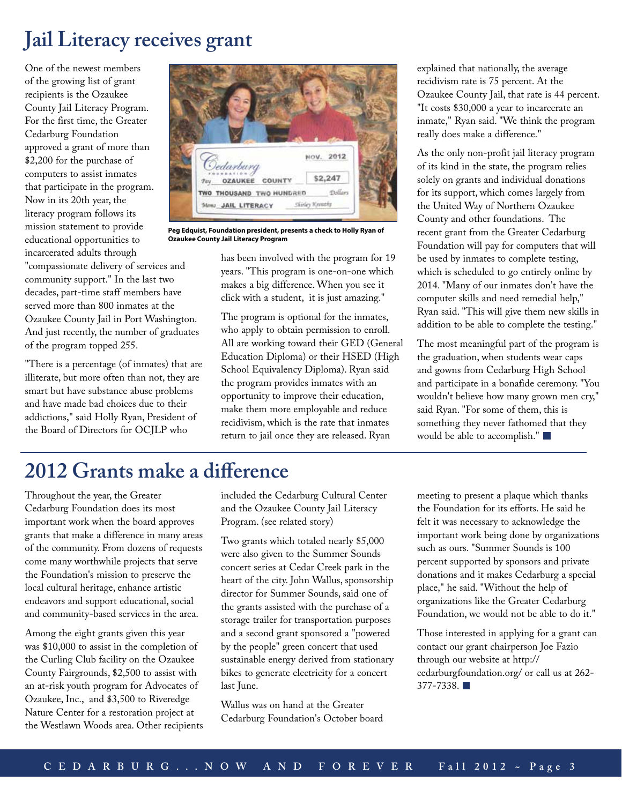# **Jail Literacy receives grant**

One of the newest members of the growing list of grant recipients is the Ozaukee County Jail Literacy Program. For the first time, the Greater Cedarburg Foundation approved a grant of more than \$2,200 for the purchase of computers to assist inmates that participate in the program. Now in its 20th year, the literacy program follows its mission statement to provide educational opportunities to incarcerated adults through "compassionate delivery of services and community support." In the last two decades, part-time staff members have served more than 800 inmates at the Ozaukee County Jail in Port Washington. And just recently, the number of graduates of the program topped 255.

"There is a percentage (of inmates) that are illiterate, but more often than not, they are smart but have substance abuse problems and have made bad choices due to their addictions," said Holly Ryan, President of the Board of Directors for OCJLP who



**Peg Edquist, Foundation president, presents a check to Holly Ryan of Ozaukee County Jail Literacy Program**

has been involved with the program for 19 years. "This program is one-on-one which makes a big difference. When you see it click with a student, it is just amazing."

The program is optional for the inmates, who apply to obtain permission to enroll. All are working toward their GED (General Education Diploma) or their HSED (High School Equivalency Diploma). Ryan said the program provides inmates with an opportunity to improve their education, make them more employable and reduce recidivism, which is the rate that inmates return to jail once they are released. Ryan

explained that nationally, the average recidivism rate is 75 percent. At the Ozaukee County Jail, that rate is 44 percent. "It costs \$30,000 a year to incarcerate an inmate," Ryan said. "We think the program really does make a difference."

As the only non-profit jail literacy program of its kind in the state, the program relies solely on grants and individual donations for its support, which comes largely from the United Way of Northern Ozaukee County and other foundations. The recent grant from the Greater Cedarburg Foundation will pay for computers that will be used by inmates to complete testing, which is scheduled to go entirely online by 2014. "Many of our inmates don't have the computer skills and need remedial help," Ryan said. "This will give them new skills in addition to be able to complete the testing."

The most meaningful part of the program is the graduation, when students wear caps and gowns from Cedarburg High School and participate in a bonafide ceremony. "You wouldn't believe how many grown men cry," said Ryan. "For some of them, this is something they never fathomed that they would be able to accomplish."

# **2012 Grants make a difference**

Throughout the year, the Greater Cedarburg Foundation does its most important work when the board approves grants that make a difference in many areas of the community. From dozens of requests come many worthwhile projects that serve the Foundation's mission to preserve the local cultural heritage, enhance artistic endeavors and support educational, social and community-based services in the area.

Among the eight grants given this year was \$10,000 to assist in the completion of the Curling Club facility on the Ozaukee County Fairgrounds, \$2,500 to assist with an at-risk youth program for Advocates of Ozaukee, Inc., and \$3,500 to Riveredge Nature Center for a restoration project at the Westlawn Woods area. Other recipients included the Cedarburg Cultural Center and the Ozaukee County Jail Literacy Program. (see related story)

Two grants which totaled nearly \$5,000 were also given to the Summer Sounds concert series at Cedar Creek park in the heart of the city. John Wallus, sponsorship director for Summer Sounds, said one of the grants assisted with the purchase of a storage trailer for transportation purposes and a second grant sponsored a "powered by the people" green concert that used sustainable energy derived from stationary bikes to generate electricity for a concert last June.

Wallus was on hand at the Greater Cedarburg Foundation's October board meeting to present a plaque which thanks the Foundation for its efforts. He said he felt it was necessary to acknowledge the important work being done by organizations such as ours. "Summer Sounds is 100 percent supported by sponsors and private donations and it makes Cedarburg a special place," he said. "Without the help of organizations like the Greater Cedarburg Foundation, we would not be able to do it."

Those interested in applying for a grant can contact our grant chairperson Joe Fazio through our website at http:// cedarburgfoundation.org/ or call us at 262- 377-7338.